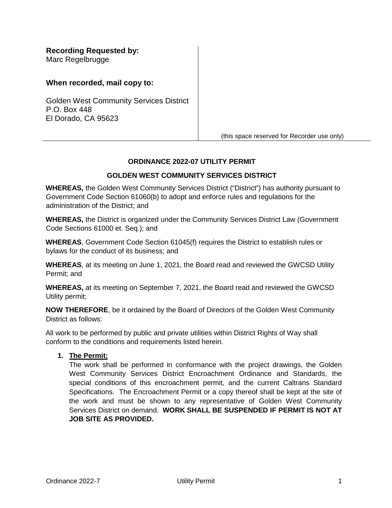**Recording Requested by:** Marc Regelbrugge

# **When recorded, mail copy to:**

Golden West Community Services District P.O. Box 448 El Dorado, CA 95623

(this space reserved for Recorder use only)

#### **ORDINANCE 2022-07 UTILITY PERMIT**

#### **GOLDEN WEST COMMUNITY SERVICES DISTRICT**

**WHEREAS,** the Golden West Community Services District ("District") has authority pursuant to Government Code Section 61060(b) to adopt and enforce rules and regulations for the administration of the District; and

**WHEREAS,** the District is organized under the Community Services District Law (Government Code Sections 61000 et. Seq.); and

**WHEREAS**, Government Code Section 61045(f) requires the District to establish rules or bylaws for the conduct of its business; and

**WHEREAS**, at its meeting on June 1, 2021, the Board read and reviewed the GWCSD Utility Permit; and

**WHEREAS,** at its meeting on September 7, 2021, the Board read and reviewed the GWCSD Utility permit;

**NOW THEREFORE**, be it ordained by the Board of Directors of the Golden West Community District as follows:

All work to be performed by public and private utilities within District Rights of Way shall conform to the conditions and requirements listed herein.

#### **1. The Permit:**

The work shall be performed in conformance with the project drawings, the Golden West Community Services District Encroachment Ordinance and Standards, the special conditions of this encroachment permit, and the current Caltrans Standard Specifications. The Encroachment Permit or a copy thereof shall be kept at the site of the work and must be shown to any representative of Golden West Community Services District on demand. **WORK SHALL BE SUSPENDED IF PERMIT IS NOT AT JOB SITE AS PROVIDED.**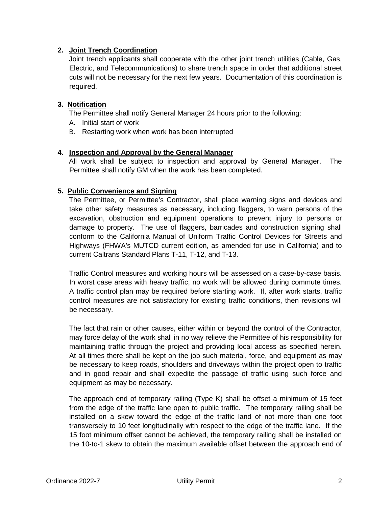## **2. Joint Trench Coordination**

Joint trench applicants shall cooperate with the other joint trench utilities (Cable, Gas, Electric, and Telecommunications) to share trench space in order that additional street cuts will not be necessary for the next few years. Documentation of this coordination is required.

## **3. Notification**

The Permittee shall notify General Manager 24 hours prior to the following:

- A. Initial start of work
- B. Restarting work when work has been interrupted

## **4. Inspection and Approval by the General Manager**

All work shall be subject to inspection and approval by General Manager. The Permittee shall notify GM when the work has been completed.

## **5. Public Convenience and Signing**

The Permittee, or Permittee's Contractor, shall place warning signs and devices and take other safety measures as necessary, including flaggers, to warn persons of the excavation, obstruction and equipment operations to prevent injury to persons or damage to property. The use of flaggers, barricades and construction signing shall conform to the California Manual of Uniform Traffic Control Devices for Streets and Highways (FHWA's MUTCD current edition, as amended for use in California) and to current Caltrans Standard Plans T-11, T-12, and T-13.

Traffic Control measures and working hours will be assessed on a case-by-case basis. In worst case areas with heavy traffic, no work will be allowed during commute times. A traffic control plan may be required before starting work. If, after work starts, traffic control measures are not satisfactory for existing traffic conditions, then revisions will be necessary.

The fact that rain or other causes, either within or beyond the control of the Contractor, may force delay of the work shall in no way relieve the Permittee of his responsibility for maintaining traffic through the project and providing local access as specified herein. At all times there shall be kept on the job such material, force, and equipment as may be necessary to keep roads, shoulders and driveways within the project open to traffic and in good repair and shall expedite the passage of traffic using such force and equipment as may be necessary.

The approach end of temporary railing (Type K) shall be offset a minimum of 15 feet from the edge of the traffic lane open to public traffic. The temporary railing shall be installed on a skew toward the edge of the traffic land of not more than one foot transversely to 10 feet longitudinally with respect to the edge of the traffic lane. If the 15 foot minimum offset cannot be achieved, the temporary railing shall be installed on the 10-to-1 skew to obtain the maximum available offset between the approach end of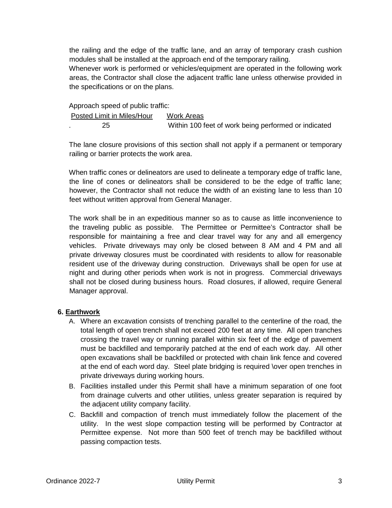the railing and the edge of the traffic lane, and an array of temporary crash cushion modules shall be installed at the approach end of the temporary railing.

Whenever work is performed or vehicles/equipment are operated in the following work areas, the Contractor shall close the adjacent traffic lane unless otherwise provided in the specifications or on the plans.

#### Approach speed of public traffic:

| Posted Limit in Miles/Hour | Work Areas                                           |
|----------------------------|------------------------------------------------------|
| 25                         | Within 100 feet of work being performed or indicated |

The lane closure provisions of this section shall not apply if a permanent or temporary railing or barrier protects the work area.

When traffic cones or delineators are used to delineate a temporary edge of traffic lane, the line of cones or delineators shall be considered to be the edge of traffic lane; however, the Contractor shall not reduce the width of an existing lane to less than 10 feet without written approval from General Manager.

The work shall be in an expeditious manner so as to cause as little inconvenience to the traveling public as possible. The Permittee or Permittee's Contractor shall be responsible for maintaining a free and clear travel way for any and all emergency vehicles. Private driveways may only be closed between 8 AM and 4 PM and all private driveway closures must be coordinated with residents to allow for reasonable resident use of the driveway during construction. Driveways shall be open for use at night and during other periods when work is not in progress. Commercial driveways shall not be closed during business hours. Road closures, if allowed, require General Manager approval.

## **6. Earthwork**

- A. Where an excavation consists of trenching parallel to the centerline of the road, the total length of open trench shall not exceed 200 feet at any time. All open tranches crossing the travel way or running parallel within six feet of the edge of pavement must be backfilled and temporarily patched at the end of each work day. All other open excavations shall be backfilled or protected with chain link fence and covered at the end of each word day. Steel plate bridging is required \over open trenches in private driveways during working hours.
- B. Facilities installed under this Permit shall have a minimum separation of one foot from drainage culverts and other utilities, unless greater separation is required by the adjacent utility company facility.
- C. Backfill and compaction of trench must immediately follow the placement of the utility. In the west slope compaction testing will be performed by Contractor at Permittee expense. Not more than 500 feet of trench may be backfilled without passing compaction tests.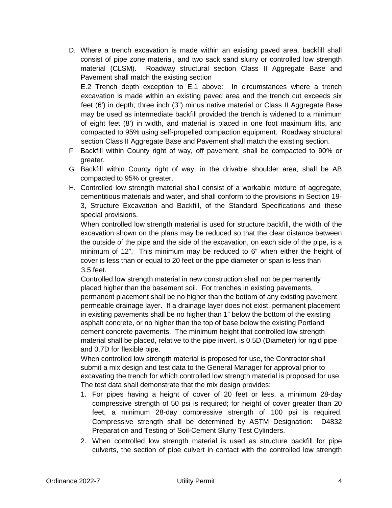D. Where a trench excavation is made within an existing paved area, backfill shall consist of pipe zone material, and two sack sand slurry or controlled low strength material (CLSM). Roadway structural section Class II Aggregate Base and Pavement shall match the existing section

E.2 Trench depth exception to E.1 above: In circumstances where a trench excavation is made within an existing paved area and the trench cut exceeds six feet (6') in depth; three inch (3") minus native material or Class II Aggregate Base may be used as intermediate backfill provided the trench is widened to a minimum of eight feet (8') in width, and material is placed in one foot maximum lifts, and compacted to 95% using self-propelled compaction equipment. Roadway structural section Class II Aggregate Base and Pavement shall match the existing section.

- F. Backfill within County right of way, off pavement, shall be compacted to 90% or greater.
- G. Backfill within County right of way, in the drivable shoulder area, shall be AB compacted to 95% or greater.
- H. Controlled low strength material shall consist of a workable mixture of aggregate, cementitious materials and water, and shall conform to the provisions in Section 19- 3, Structure Excavation and Backfill, of the Standard Specifications and these special provisions.

When controlled low strength material is used for structure backfill, the width of the excavation shown on the plans may be reduced so that the clear distance between the outside of the pipe and the side of the excavation, on each side of the pipe, is a minimum of 12". This minimum may be reduced to 6" when either the height of cover is less than or equal to 20 feet or the pipe diameter or span is less than 3.5 feet.

Controlled low strength material in new construction shall not be permanently placed higher than the basement soil. For trenches in existing pavements, permanent placement shall be no higher than the bottom of any existing pavement permeable drainage layer. If a drainage layer does not exist, permanent placement in existing pavements shall be no higher than 1" below the bottom of the existing asphalt concrete, or no higher than the top of base below the existing Portland cement concrete pavements. The minimum height that controlled low strength material shall be placed, relative to the pipe invert, is 0.5D (Diameter) for rigid pipe and 0.7D for flexible pipe.

When controlled low strength material is proposed for use, the Contractor shall submit a mix design and test data to the General Manager for approval prior to excavating the trench for which controlled low strength material is proposed for use. The test data shall demonstrate that the mix design provides:

- 1. For pipes having a height of cover of 20 feet or less, a minimum 28-day compressive strength of 50 psi is required; for height of cover greater than 20 feet, a minimum 28-day compressive strength of 100 psi is required. Compressive strength shall be determined by ASTM Designation: D4832 Preparation and Testing of Soil-Cement Slurry Test Cylinders.
- 2. When controlled low strength material is used as structure backfill for pipe culverts, the section of pipe culvert in contact with the controlled low strength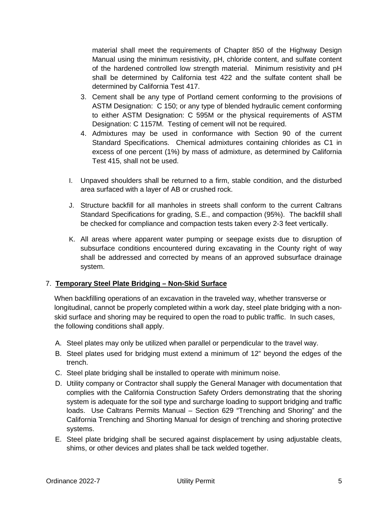material shall meet the requirements of Chapter 850 of the Highway Design Manual using the minimum resistivity, pH, chloride content, and sulfate content of the hardened controlled low strength material. Minimum resistivity and pH shall be determined by California test 422 and the sulfate content shall be determined by California Test 417.

- 3. Cement shall be any type of Portland cement conforming to the provisions of ASTM Designation: C 150; or any type of blended hydraulic cement conforming to either ASTM Designation: C 595M or the physical requirements of ASTM Designation: C 1157M. Testing of cement will not be required.
- 4. Admixtures may be used in conformance with Section 90 of the current Standard Specifications. Chemical admixtures containing chlorides as C1 in excess of one percent (1%) by mass of admixture, as determined by California Test 415, shall not be used.
- I. Unpaved shoulders shall be returned to a firm, stable condition, and the disturbed area surfaced with a layer of AB or crushed rock.
- J. Structure backfill for all manholes in streets shall conform to the current Caltrans Standard Specifications for grading, S.E., and compaction (95%). The backfill shall be checked for compliance and compaction tests taken every 2-3 feet vertically.
- K. All areas where apparent water pumping or seepage exists due to disruption of subsurface conditions encountered during excavating in the County right of way shall be addressed and corrected by means of an approved subsurface drainage system.

# 7. **Temporary Steel Plate Bridging – Non-Skid Surface**

 When backfilling operations of an excavation in the traveled way, whether transverse or longitudinal, cannot be properly completed within a work day, steel plate bridging with a nonskid surface and shoring may be required to open the road to public traffic. In such cases, the following conditions shall apply.

- A. Steel plates may only be utilized when parallel or perpendicular to the travel way.
- B. Steel plates used for bridging must extend a minimum of 12" beyond the edges of the trench.
- C. Steel plate bridging shall be installed to operate with minimum noise.
- D. Utility company or Contractor shall supply the General Manager with documentation that complies with the California Construction Safety Orders demonstrating that the shoring system is adequate for the soil type and surcharge loading to support bridging and traffic loads. Use Caltrans Permits Manual – Section 629 "Trenching and Shoring" and the California Trenching and Shorting Manual for design of trenching and shoring protective systems.
- E. Steel plate bridging shall be secured against displacement by using adjustable cleats, shims, or other devices and plates shall be tack welded together.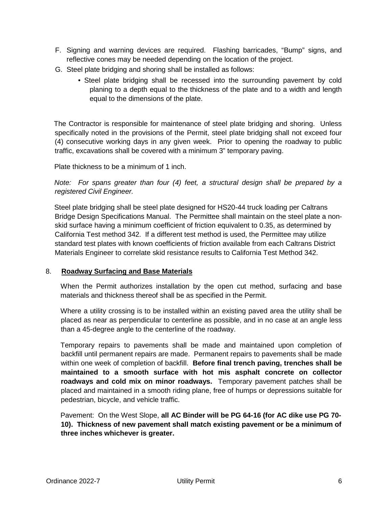- F. Signing and warning devices are required. Flashing barricades, "Bump" signs, and reflective cones may be needed depending on the location of the project.
- G. Steel plate bridging and shoring shall be installed as follows:
	- Steel plate bridging shall be recessed into the surrounding pavement by cold planing to a depth equal to the thickness of the plate and to a width and length equal to the dimensions of the plate.

 The Contractor is responsible for maintenance of steel plate bridging and shoring. Unless specifically noted in the provisions of the Permit, steel plate bridging shall not exceed four (4) consecutive working days in any given week. Prior to opening the roadway to public traffic, excavations shall be covered with a minimum 3" temporary paving.

Plate thickness to be a minimum of 1 inch.

*Note: For spans greater than four (4) feet, a structural design shall be prepared by a registered Civil Engineer.*

Steel plate bridging shall be steel plate designed for HS20-44 truck loading per Caltrans Bridge Design Specifications Manual. The Permittee shall maintain on the steel plate a nonskid surface having a minimum coefficient of friction equivalent to 0.35, as determined by California Test method 342. If a different test method is used, the Permittee may utilize standard test plates with known coefficients of friction available from each Caltrans District Materials Engineer to correlate skid resistance results to California Test Method 342.

## 8. **Roadway Surfacing and Base Materials**

 When the Permit authorizes installation by the open cut method, surfacing and base materials and thickness thereof shall be as specified in the Permit.

Where a utility crossing is to be installed within an existing paved area the utility shall be placed as near as perpendicular to centerline as possible, and in no case at an angle less than a 45-degree angle to the centerline of the roadway.

Temporary repairs to pavements shall be made and maintained upon completion of backfill until permanent repairs are made. Permanent repairs to pavements shall be made within one week of completion of backfill. **Before final trench paving, trenches shall be maintained to a smooth surface with hot mis asphalt concrete on collector roadways and cold mix on minor roadways.** Temporary pavement patches shall be placed and maintained in a smooth riding plane, free of humps or depressions suitable for pedestrian, bicycle, and vehicle traffic.

Pavement: On the West Slope, **all AC Binder will be PG 64-16 (for AC dike use PG 70- 10). Thickness of new pavement shall match existing pavement or be a minimum of three inches whichever is greater.**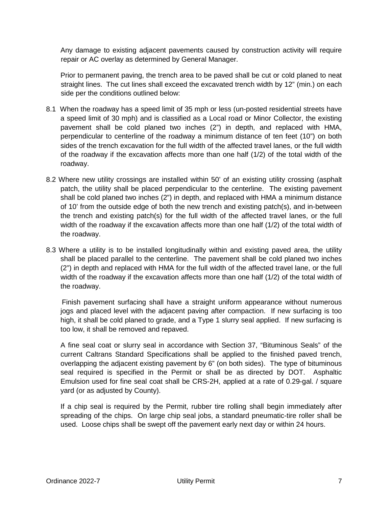Any damage to existing adjacent pavements caused by construction activity will require repair or AC overlay as determined by General Manager.

Prior to permanent paving, the trench area to be paved shall be cut or cold planed to neat straight lines. The cut lines shall exceed the excavated trench width by 12" (min.) on each side per the conditions outlined below:

- 8.1 When the roadway has a speed limit of 35 mph or less (un-posted residential streets have a speed limit of 30 mph) and is classified as a Local road or Minor Collector, the existing pavement shall be cold planed two inches (2") in depth, and replaced with HMA, perpendicular to centerline of the roadway a minimum distance of ten feet (10") on both sides of the trench excavation for the full width of the affected travel lanes, or the full width of the roadway if the excavation affects more than one half (1/2) of the total width of the roadway.
- 8.2 Where new utility crossings are installed within 50' of an existing utility crossing (asphalt patch, the utility shall be placed perpendicular to the centerline. The existing pavement shall be cold planed two inches (2") in depth, and replaced with HMA a minimum distance of 10' from the outside edge of both the new trench and existing patch(s), and in-between the trench and existing patch(s) for the full width of the affected travel lanes, or the full width of the roadway if the excavation affects more than one half (1/2) of the total width of the roadway.
- 8.3 Where a utility is to be installed longitudinally within and existing paved area, the utility shall be placed parallel to the centerline. The pavement shall be cold planed two inches (2") in depth and replaced with HMA for the full width of the affected travel lane, or the full width of the roadway if the excavation affects more than one half (1/2) of the total width of the roadway.

 Finish pavement surfacing shall have a straight uniform appearance without numerous jogs and placed level with the adjacent paving after compaction. If new surfacing is too high, it shall be cold planed to grade, and a Type 1 slurry seal applied. If new surfacing is too low, it shall be removed and repaved.

A fine seal coat or slurry seal in accordance with Section 37, "Bituminous Seals" of the current Caltrans Standard Specifications shall be applied to the finished paved trench, overlapping the adjacent existing pavement by 6" (on both sides). The type of bituminous seal required is specified in the Permit or shall be as directed by DOT. Asphaltic Emulsion used for fine seal coat shall be CRS-2H, applied at a rate of 0.29-gal. / square yard (or as adjusted by County).

If a chip seal is required by the Permit, rubber tire rolling shall begin immediately after spreading of the chips. On large chip seal jobs, a standard pneumatic-tire roller shall be used. Loose chips shall be swept off the pavement early next day or within 24 hours.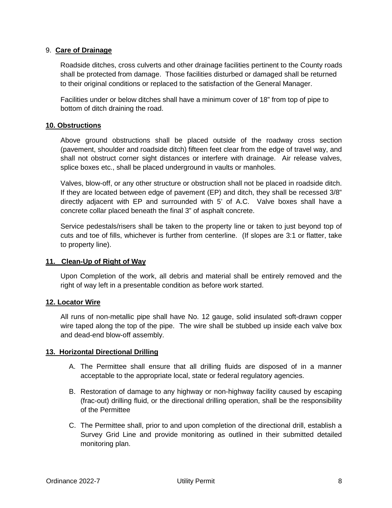### 9. **Care of Drainage**

 Roadside ditches, cross culverts and other drainage facilities pertinent to the County roads shall be protected from damage. Those facilities disturbed or damaged shall be returned to their original conditions or replaced to the satisfaction of the General Manager.

Facilities under or below ditches shall have a minimum cover of 18" from top of pipe to bottom of ditch draining the road.

#### **10. Obstructions**

Above ground obstructions shall be placed outside of the roadway cross section (pavement, shoulder and roadside ditch) fifteen feet clear from the edge of travel way, and shall not obstruct corner sight distances or interfere with drainage. Air release valves, splice boxes etc., shall be placed underground in vaults or manholes.

Valves, blow-off, or any other structure or obstruction shall not be placed in roadside ditch. If they are located between edge of pavement (EP) and ditch, they shall be recessed 3/8" directly adjacent with EP and surrounded with 5' of A.C. Valve boxes shall have a concrete collar placed beneath the final 3" of asphalt concrete.

Service pedestals/risers shall be taken to the property line or taken to just beyond top of cuts and toe of fills, whichever is further from centerline. (If slopes are 3:1 or flatter, take to property line).

## **11. Clean-Up of Right of Way**

Upon Completion of the work, all debris and material shall be entirely removed and the right of way left in a presentable condition as before work started.

#### **12. Locator Wire**

All runs of non-metallic pipe shall have No. 12 gauge, solid insulated soft-drawn copper wire taped along the top of the pipe. The wire shall be stubbed up inside each valve box and dead-end blow-off assembly.

## **13. Horizontal Directional Drilling**

- A. The Permittee shall ensure that all drilling fluids are disposed of in a manner acceptable to the appropriate local, state or federal regulatory agencies.
- B. Restoration of damage to any highway or non-highway facility caused by escaping (frac-out) drilling fluid, or the directional drilling operation, shall be the responsibility of the Permittee
- C. The Permittee shall, prior to and upon completion of the directional drill, establish a Survey Grid Line and provide monitoring as outlined in their submitted detailed monitoring plan.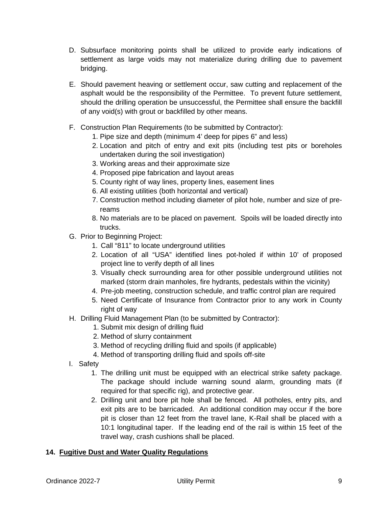- D. Subsurface monitoring points shall be utilized to provide early indications of settlement as large voids may not materialize during drilling due to pavement bridging.
- E. Should pavement heaving or settlement occur, saw cutting and replacement of the asphalt would be the responsibility of the Permittee. To prevent future settlement, should the drilling operation be unsuccessful, the Permittee shall ensure the backfill of any void(s) with grout or backfilled by other means.
- F. Construction Plan Requirements (to be submitted by Contractor):
	- 1. Pipe size and depth (minimum 4' deep for pipes 6" and less)
	- 2. Location and pitch of entry and exit pits (including test pits or boreholes undertaken during the soil investigation)
	- 3. Working areas and their approximate size
	- 4. Proposed pipe fabrication and layout areas
	- 5. County right of way lines, property lines, easement lines
	- 6. All existing utilities (both horizontal and vertical)
	- 7. Construction method including diameter of pilot hole, number and size of prereams
	- 8. No materials are to be placed on pavement. Spoils will be loaded directly into trucks.
- G. Prior to Beginning Project:
	- 1. Call "811" to locate underground utilities
	- 2. Location of all "USA" identified lines pot-holed if within 10' of proposed project line to verify depth of all lines
	- 3. Visually check surrounding area for other possible underground utilities not marked (storm drain manholes, fire hydrants, pedestals within the vicinity)
	- 4. Pre-job meeting, construction schedule, and traffic control plan are required
	- 5. Need Certificate of Insurance from Contractor prior to any work in County right of way
- H. Drilling Fluid Management Plan (to be submitted by Contractor):
	- 1. Submit mix design of drilling fluid
	- 2. Method of slurry containment
	- 3. Method of recycling drilling fluid and spoils (if applicable)
	- 4. Method of transporting drilling fluid and spoils off-site
- I. Safety
	- 1. The drilling unit must be equipped with an electrical strike safety package. The package should include warning sound alarm, grounding mats (if required for that specific rig), and protective gear.
	- 2. Drilling unit and bore pit hole shall be fenced. All potholes, entry pits, and exit pits are to be barricaded. An additional condition may occur if the bore pit is closer than 12 feet from the travel lane, K-Rail shall be placed with a 10:1 longitudinal taper. If the leading end of the rail is within 15 feet of the travel way, crash cushions shall be placed.

## **14. Fugitive Dust and Water Quality Regulations**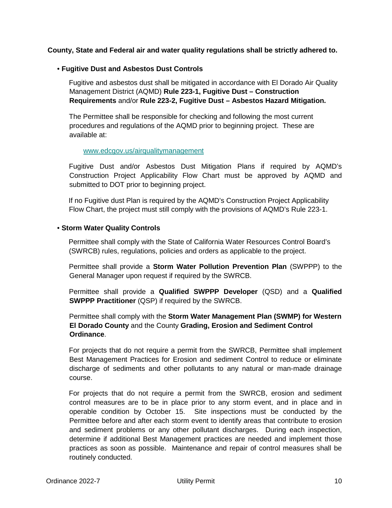### **County, State and Federal air and water quality regulations shall be strictly adhered to.**

#### • **Fugitive Dust and Asbestos Dust Controls**

Fugitive and asbestos dust shall be mitigated in accordance with El Dorado Air Quality Management District (AQMD) **Rule 223-1, Fugitive Dust – Construction Requirements** and/or **Rule 223-2, Fugitive Dust – Asbestos Hazard Mitigation.**

The Permittee shall be responsible for checking and following the most current procedures and regulations of the AQMD prior to beginning project. These are available at:

#### www.edcgov.us/airqualitymanagement

Fugitive Dust and/or Asbestos Dust Mitigation Plans if required by AQMD's Construction Project Applicability Flow Chart must be approved by AQMD and submitted to DOT prior to beginning project.

If no Fugitive dust Plan is required by the AQMD's Construction Project Applicability Flow Chart, the project must still comply with the provisions of AQMD's Rule 223-1.

#### • **Storm Water Quality Controls**

Permittee shall comply with the State of California Water Resources Control Board's (SWRCB) rules, regulations, policies and orders as applicable to the project.

Permittee shall provide a **Storm Water Pollution Prevention Plan** (SWPPP) to the General Manager upon request if required by the SWRCB.

Permittee shall provide a **Qualified SWPPP Developer** (QSD) and a **Qualified SWPPP Practitioner** (QSP) if required by the SWRCB.

Permittee shall comply with the **Storm Water Management Plan (SWMP) for Western El Dorado County** and the County **Grading, Erosion and Sediment Control Ordinance**.

For projects that do not require a permit from the SWRCB, Permittee shall implement Best Management Practices for Erosion and sediment Control to reduce or eliminate discharge of sediments and other pollutants to any natural or man-made drainage course.

For projects that do not require a permit from the SWRCB, erosion and sediment control measures are to be in place prior to any storm event, and in place and in operable condition by October 15. Site inspections must be conducted by the Permittee before and after each storm event to identify areas that contribute to erosion and sediment problems or any other pollutant discharges. During each inspection, determine if additional Best Management practices are needed and implement those practices as soon as possible. Maintenance and repair of control measures shall be routinely conducted.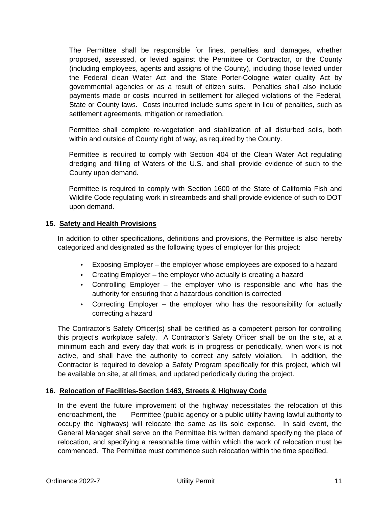The Permittee shall be responsible for fines, penalties and damages, whether proposed, assessed, or levied against the Permittee or Contractor, or the County (including employees, agents and assigns of the County), including those levied under the Federal clean Water Act and the State Porter-Cologne water quality Act by governmental agencies or as a result of citizen suits. Penalties shall also include payments made or costs incurred in settlement for alleged violations of the Federal, State or County laws. Costs incurred include sums spent in lieu of penalties, such as settlement agreements, mitigation or remediation.

Permittee shall complete re-vegetation and stabilization of all disturbed soils, both within and outside of County right of way, as required by the County.

Permittee is required to comply with Section 404 of the Clean Water Act regulating dredging and filling of Waters of the U.S. and shall provide evidence of such to the County upon demand.

Permittee is required to comply with Section 1600 of the State of California Fish and Wildlife Code regulating work in streambeds and shall provide evidence of such to DOT upon demand.

#### **15. Safety and Health Provisions**

In addition to other specifications, definitions and provisions, the Permittee is also hereby categorized and designated as the following types of employer for this project:

- Exposing Employer the employer whose employees are exposed to a hazard
- Creating Employer the employer who actually is creating a hazard
- Controlling Employer the employer who is responsible and who has the authority for ensuring that a hazardous condition is corrected
- Correcting Employer the employer who has the responsibility for actually correcting a hazard

The Contractor's Safety Officer(s) shall be certified as a competent person for controlling this project's workplace safety. A Contractor's Safety Officer shall be on the site, at a minimum each and every day that work is in progress or periodically, when work is not active, and shall have the authority to correct any safety violation. In addition, the Contractor is required to develop a Safety Program specifically for this project, which will be available on site, at all times, and updated periodically during the project.

## **16. Relocation of Facilities-Section 1463, Streets & Highway Code**

In the event the future improvement of the highway necessitates the relocation of this encroachment, the Permittee (public agency or a public utility having lawful authority to occupy the highways) will relocate the same as its sole expense. In said event, the General Manager shall serve on the Permittee his written demand specifying the place of relocation, and specifying a reasonable time within which the work of relocation must be commenced. The Permittee must commence such relocation within the time specified.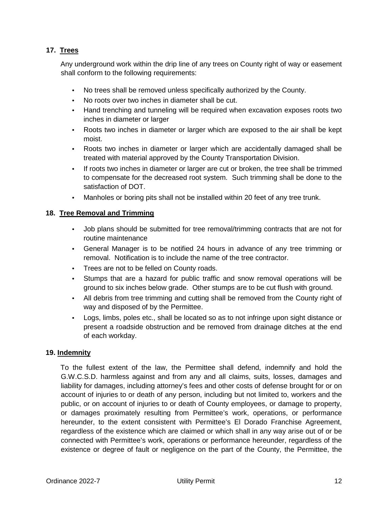# **17. Trees**

Any underground work within the drip line of any trees on County right of way or easement shall conform to the following requirements:

- No trees shall be removed unless specifically authorized by the County.
- No roots over two inches in diameter shall be cut.
- Hand trenching and tunneling will be required when excavation exposes roots two inches in diameter or larger
- Roots two inches in diameter or larger which are exposed to the air shall be kept moist.
- Roots two inches in diameter or larger which are accidentally damaged shall be treated with material approved by the County Transportation Division.
- If roots two inches in diameter or larger are cut or broken, the tree shall be trimmed to compensate for the decreased root system. Such trimming shall be done to the satisfaction of DOT.
- Manholes or boring pits shall not be installed within 20 feet of any tree trunk.

## **18. Tree Removal and Trimming**

- Job plans should be submitted for tree removal/trimming contracts that are not for routine maintenance
- General Manager is to be notified 24 hours in advance of any tree trimming or removal. Notification is to include the name of the tree contractor.
- Trees are not to be felled on County roads.
- Stumps that are a hazard for public traffic and snow removal operations will be ground to six inches below grade. Other stumps are to be cut flush with ground.
- All debris from tree trimming and cutting shall be removed from the County right of way and disposed of by the Permittee.
- Logs, limbs, poles etc., shall be located so as to not infringe upon sight distance or present a roadside obstruction and be removed from drainage ditches at the end of each workday.

## **19. Indemnity**

To the fullest extent of the law, the Permittee shall defend, indemnify and hold the G.W.C.S.D. harmless against and from any and all claims, suits, losses, damages and liability for damages, including attorney's fees and other costs of defense brought for or on account of injuries to or death of any person, including but not limited to, workers and the public, or on account of injuries to or death of County employees, or damage to property, or damages proximately resulting from Permittee's work, operations, or performance hereunder, to the extent consistent with Permittee's El Dorado Franchise Agreement, regardless of the existence which are claimed or which shall in any way arise out of or be connected with Permittee's work, operations or performance hereunder, regardless of the existence or degree of fault or negligence on the part of the County, the Permittee, the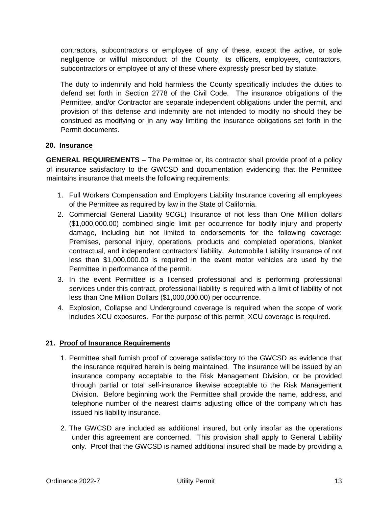contractors, subcontractors or employee of any of these, except the active, or sole negligence or willful misconduct of the County, its officers, employees, contractors, subcontractors or employee of any of these where expressly prescribed by statute.

The duty to indemnify and hold harmless the County specifically includes the duties to defend set forth in Section 2778 of the Civil Code. The insurance obligations of the Permittee, and/or Contractor are separate independent obligations under the permit, and provision of this defense and indemnity are not intended to modify no should they be construed as modifying or in any way limiting the insurance obligations set forth in the Permit documents.

# **20. Insurance**

**GENERAL REQUIREMENTS** – The Permittee or, its contractor shall provide proof of a policy of insurance satisfactory to the GWCSD and documentation evidencing that the Permittee maintains insurance that meets the following requirements:

- 1. Full Workers Compensation and Employers Liability Insurance covering all employees of the Permittee as required by law in the State of California.
- 2. Commercial General Liability 9CGL) Insurance of not less than One Million dollars (\$1,000,000.00) combined single limit per occurrence for bodily injury and property damage, including but not limited to endorsements for the following coverage: Premises, personal injury, operations, products and completed operations, blanket contractual, and independent contractors' liability. Automobile Liability Insurance of not less than \$1,000,000.00 is required in the event motor vehicles are used by the Permittee in performance of the permit.
- 3. In the event Permittee is a licensed professional and is performing professional services under this contract, professional liability is required with a limit of liability of not less than One Million Dollars (\$1,000,000.00) per occurrence.
- 4. Explosion, Collapse and Underground coverage is required when the scope of work includes XCU exposures. For the purpose of this permit, XCU coverage is required.

# **21. Proof of Insurance Requirements**

- 1. Permittee shall furnish proof of coverage satisfactory to the GWCSD as evidence that the insurance required herein is being maintained. The insurance will be issued by an insurance company acceptable to the Risk Management Division, or be provided through partial or total self-insurance likewise acceptable to the Risk Management Division. Before beginning work the Permittee shall provide the name, address, and telephone number of the nearest claims adjusting office of the company which has issued his liability insurance.
- 2. The GWCSD are included as additional insured, but only insofar as the operations under this agreement are concerned. This provision shall apply to General Liability only. Proof that the GWCSD is named additional insured shall be made by providing a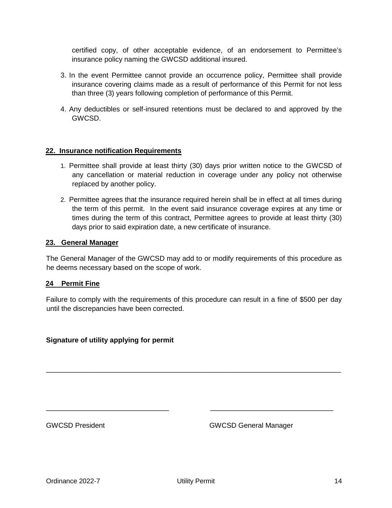certified copy, of other acceptable evidence, of an endorsement to Permittee's insurance policy naming the GWCSD additional insured.

- 3. In the event Permittee cannot provide an occurrence policy, Permittee shall provide insurance covering claims made as a result of performance of this Permit for not less than three (3) years following completion of performance of this Permit.
- 4. Any deductibles or self-insured retentions must be declared to and approved by the GWCSD.

#### **22. Insurance notification Requirements**

- 1. Permittee shall provide at least thirty (30) days prior written notice to the GWCSD of any cancellation or material reduction in coverage under any policy not otherwise replaced by another policy.
- 2. Permittee agrees that the insurance required herein shall be in effect at all times during the term of this permit. In the event said insurance coverage expires at any time or times during the term of this contract, Permittee agrees to provide at least thirty (30) days prior to said expiration date, a new certificate of insurance.

#### **23. General Manager**

The General Manager of the GWCSD may add to or modify requirements of this procedure as he deems necessary based on the scope of work.

#### **24 Permit Fine**

Failure to comply with the requirements of this procedure can result in a fine of \$500 per day until the discrepancies have been corrected.

**\_\_\_\_\_\_\_\_\_\_\_\_\_\_\_\_\_\_\_\_\_\_\_\_\_\_\_\_\_\_\_\_\_\_\_\_\_\_\_\_\_\_\_\_\_\_\_\_**

**\_\_\_\_\_\_\_\_\_\_\_\_\_\_\_\_\_\_\_\_ \_\_\_\_\_\_\_\_\_\_\_\_\_\_\_\_\_\_\_\_**

#### **Signature of utility applying for permit**

GWCSD President **GWCSD General Manager** GWCSD General Manager